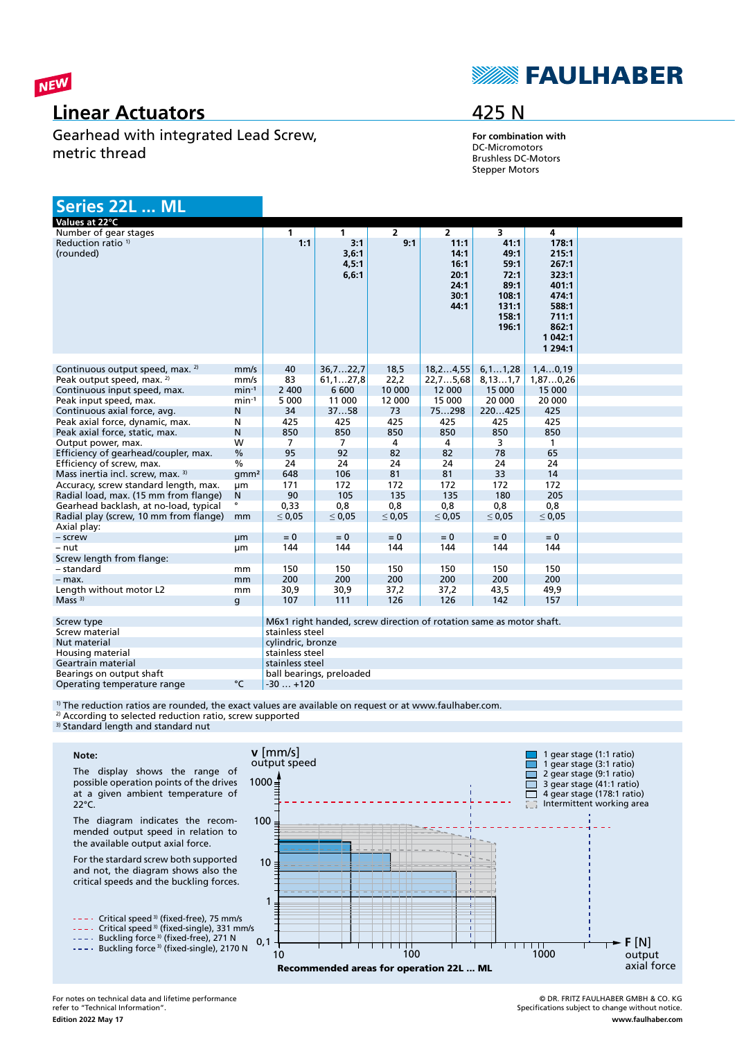

## **Linear Actuators**

Gearhead with integrated Lead Screw, metric thread

## **SEAULHABER**

### 425 N

**For combination with** DC-Micromotors Brushless DC-Motors Stepper Motors

### **Series 22L ... ML**

| Values at 22°C                              |                  |                                                                     |             |                |                |             |                      |  |
|---------------------------------------------|------------------|---------------------------------------------------------------------|-------------|----------------|----------------|-------------|----------------------|--|
| Number of gear stages                       |                  | $\mathbf{1}$                                                        | 1           | $\overline{2}$ | $\overline{2}$ | 3           | 4                    |  |
| Reduction ratio <sup>1)</sup>               |                  | 1:1                                                                 | 3:1         | 9:1            | 11:1           | 41:1        | 178:1                |  |
| (rounded)                                   |                  |                                                                     | 3,6:1       |                | 14:1           | 49:1        | 215:1                |  |
|                                             |                  |                                                                     | 4,5:1       |                | 16:1           | 59:1        | 267:1                |  |
|                                             |                  |                                                                     | 6, 6:1      |                | 20:1           | 72:1        | 323:1                |  |
|                                             |                  |                                                                     |             |                | 24:1           | 89:1        | 401:1                |  |
|                                             |                  |                                                                     |             |                | 30:1           | 108:1       | 474:1                |  |
|                                             |                  |                                                                     |             |                | 44:1           | 131:1       | 588:1                |  |
|                                             |                  |                                                                     |             |                |                | 158:1       | 711:1                |  |
|                                             |                  |                                                                     |             |                |                | 196:1       | 862:1                |  |
|                                             |                  |                                                                     |             |                |                |             | 1 042:1<br>1 2 9 4:1 |  |
|                                             |                  |                                                                     |             |                |                |             |                      |  |
| Continuous output speed, max. <sup>2)</sup> | mm/s             | 40                                                                  | 36,722,7    | 18,5           | 18, 24, 55     | 6, 11, 28   | 1, 40, 19            |  |
| Peak output speed, max. 2)                  | mm/s             | 83                                                                  | 61, 127, 8  | 22,2           | 22,75,68       | 8, 131, 7   | 1,870,26             |  |
| Continuous input speed, max.                | $min-1$          | 2 4 0 0                                                             | 6 600       | 10 000         | 12 000         | 15 000      | 15 000               |  |
| Peak input speed, max.                      | $min-1$          | 5 0 0 0                                                             | 11 000      | 12 000         | 15 000         | 20 000      | 20 000               |  |
| Continuous axial force, avg.                | N                | 34                                                                  | 3758        | 73             | 75298          | 220425      | 425                  |  |
| Peak axial force, dynamic, max.             | N                | 425                                                                 | 425         | 425            | 425            | 425         | 425                  |  |
| Peak axial force, static, max.              | $\mathsf{N}$     | 850                                                                 | 850         | 850            | 850            | 850         | 850                  |  |
| Output power, max.                          | W                | 7                                                                   | 7           | 4              | 4              | 3           | 1                    |  |
| Efficiency of gearhead/coupler, max.        | $\frac{0}{0}$    | 95                                                                  | 92          | 82             | 82             | 78          | 65                   |  |
| Efficiency of screw, max.                   | $\frac{0}{0}$    | 24                                                                  | 24          | 24             | 24             | 24          | 24                   |  |
| Mass inertia incl. screw, max. 3)           | qmm <sup>2</sup> | 648                                                                 | 106         | 81             | 81             | 33          | 14                   |  |
| Accuracy, screw standard length, max.       | μm               | 171                                                                 | 172         | 172            | 172            | 172         | 172                  |  |
| Radial load, max. (15 mm from flange)       | N                | 90                                                                  | 105         | 135            | 135            | 180         | 205                  |  |
| Gearhead backlash, at no-load, typical      |                  | 0,33                                                                | 0,8         | 0,8            | 0,8            | 0,8         | 0,8                  |  |
| Radial play (screw, 10 mm from flange)      | mm               | $\leq 0.05$                                                         | $\leq 0.05$ | $\leq 0.05$    | $\leq 0.05$    | $\leq 0.05$ | $\leq 0.05$          |  |
| Axial play:                                 |                  |                                                                     |             |                |                |             |                      |  |
| - screw                                     | µm               | $= 0$                                                               | $= 0$       | $= 0$          | $= 0$          | $= 0$       | $= 0$                |  |
| – nut                                       | μm               | 144                                                                 | 144         | 144            | 144            | 144         | 144                  |  |
| Screw length from flange:                   |                  |                                                                     |             |                |                |             |                      |  |
| - standard                                  | mm               | 150                                                                 | 150         | 150            | 150            | 150         | 150                  |  |
| - max.                                      | mm               | 200                                                                 | 200         | 200            | 200            | 200         | 200                  |  |
| Length without motor L2                     | mm               | 30,9                                                                | 30,9        | 37,2           | 37,2           | 43,5        | 49,9                 |  |
| Mass <sup>3</sup>                           | q                | 107                                                                 | 111         | 126            | 126            | 142         | 157                  |  |
|                                             |                  |                                                                     |             |                |                |             |                      |  |
| Screw type<br>Screw material                |                  | M6x1 right handed, screw direction of rotation same as motor shaft. |             |                |                |             |                      |  |
| Nut material                                |                  | stainless steel<br>cylindric, bronze                                |             |                |                |             |                      |  |
| Housing material                            |                  | stainless steel                                                     |             |                |                |             |                      |  |
| Geartrain material                          |                  | stainless steel                                                     |             |                |                |             |                      |  |
| Bearings on output shaft                    |                  | ball bearings, preloaded                                            |             |                |                |             |                      |  |
| Operating temperature range                 | °C               | $-30+120$                                                           |             |                |                |             |                      |  |

<sup>1)</sup> The reduction ratios are rounded, the exact values are available on request or at www.faulhaber.com.

<sup>2)</sup> According to selected reduction ratio, screw supported

<sup>3)</sup> Standard length and standard nut



The display shows the range of possible operation points of the drives at a given ambient temperature of 22°C.

The diagram indicates the recommended output speed in relation to the available output axial force.

For the stardard screw both supported and not, the diagram shows also the critical speeds and the buckling forces.

- Critical speed<sup>3)</sup> (fixed-free), 75 mm/s

Critical speed 3) (fixed-single), 331 mm/s

Buckling force <sup>3)</sup> (fixed-free), 271 N

Buckling force<sup>3)</sup> (fixed-single), 2170 N



© DR. FRITZ FAULHABER GMBH & CO. KG Specifications subject to change without notice. **www.faulhaber.com**